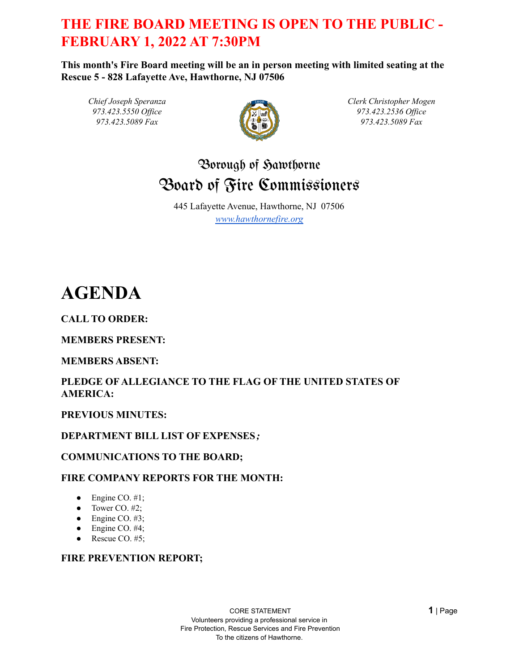# **THE FIRE BOARD MEETING IS OPEN TO THE PUBLIC - FEBRUARY 1, 2022 AT 7:30PM**

**This month's Fire Board meeting will be an in person meeting with limited seating at the Rescue 5 - 828 Lafayette Ave, Hawthorne, NJ 07506**

*Chief Joseph Speranza 973.423.5550 Of ice 973.423.5089 Fax*



*Clerk Christopher Mogen 973.423.2536 Of ice 973.423.5089 Fax*

# Borough of Hawthorne Board of Fire Commissioners

445 Lafayette Avenue, Hawthorne, NJ 07506 *[www.hawthornefire.org](http://www.hawthornefire.org)*

# **AGENDA**

**CALL TO ORDER:**

# **MEMBERS PRESENT:**

# **MEMBERS ABSENT:**

# **PLEDGE OF ALLEGIANCE TO THE FLAG OF THE UNITED STATES OF AMERICA:**

# **PREVIOUS MINUTES:**

# **DEPARTMENT BILL LIST OF EXPENSES***;*

# **COMMUNICATIONS TO THE BOARD;**

# **FIRE COMPANY REPORTS FOR THE MONTH:**

- $\bullet$  Engine CO. #1;
- Tower CO.  $#2$ ;
- $\bullet$  Engine CO. #3;
- $\bullet$  Engine CO. #4;
- Rescue CO.  $#5$ ;

#### **FIRE PREVENTION REPORT;**